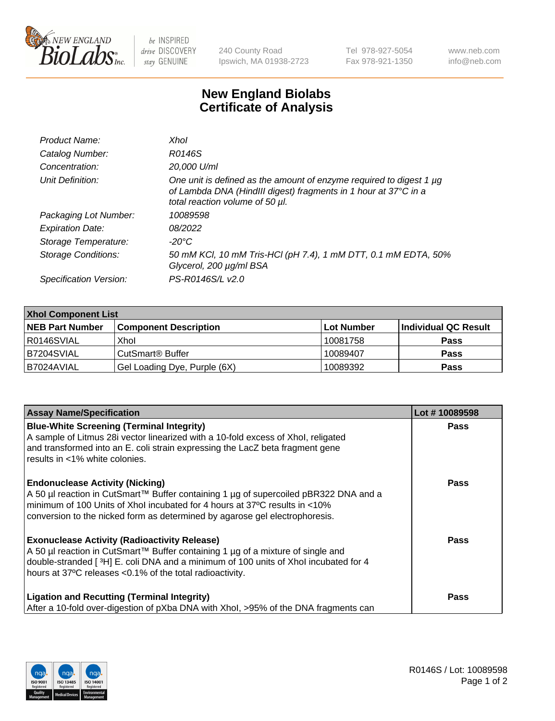

 $be$  INSPIRED drive DISCOVERY stay GENUINE

240 County Road Ipswich, MA 01938-2723 Tel 978-927-5054 Fax 978-921-1350 www.neb.com info@neb.com

## **New England Biolabs Certificate of Analysis**

| Product Name:           | Xhol                                                                                                                                                                      |
|-------------------------|---------------------------------------------------------------------------------------------------------------------------------------------------------------------------|
| Catalog Number:         | R0146S                                                                                                                                                                    |
| Concentration:          | 20,000 U/ml                                                                                                                                                               |
| Unit Definition:        | One unit is defined as the amount of enzyme required to digest 1 µg<br>of Lambda DNA (HindIII digest) fragments in 1 hour at 37°C in a<br>total reaction volume of 50 µl. |
| Packaging Lot Number:   | 10089598                                                                                                                                                                  |
| <b>Expiration Date:</b> | 08/2022                                                                                                                                                                   |
| Storage Temperature:    | -20°C                                                                                                                                                                     |
| Storage Conditions:     | 50 mM KCl, 10 mM Tris-HCl (pH 7.4), 1 mM DTT, 0.1 mM EDTA, 50%<br>Glycerol, 200 µg/ml BSA                                                                                 |
| Specification Version:  | PS-R0146S/L v2.0                                                                                                                                                          |

| <b>Xhol Component List</b> |                              |             |                      |  |  |
|----------------------------|------------------------------|-------------|----------------------|--|--|
| <b>NEB Part Number</b>     | <b>Component Description</b> | ∣Lot Number | Individual QC Result |  |  |
| R0146SVIAL                 | Xhol                         | 10081758    | <b>Pass</b>          |  |  |
| B7204SVIAL                 | CutSmart® Buffer             | 10089407    | <b>Pass</b>          |  |  |
| B7024AVIAL                 | Gel Loading Dye, Purple (6X) | 10089392    | <b>Pass</b>          |  |  |

| <b>Assay Name/Specification</b>                                                                                                                                        | Lot #10089598 |
|------------------------------------------------------------------------------------------------------------------------------------------------------------------------|---------------|
| <b>Blue-White Screening (Terminal Integrity)</b><br>A sample of Litmus 28i vector linearized with a 10-fold excess of Xhol, religated                                  | <b>Pass</b>   |
| and transformed into an E. coli strain expressing the LacZ beta fragment gene<br>results in <1% white colonies.                                                        |               |
| <b>Endonuclease Activity (Nicking)</b>                                                                                                                                 | <b>Pass</b>   |
| A 50 µl reaction in CutSmart™ Buffer containing 1 µg of supercoiled pBR322 DNA and a<br>minimum of 100 Units of Xhol incubated for 4 hours at 37°C results in <10%     |               |
| conversion to the nicked form as determined by agarose gel electrophoresis.                                                                                            |               |
| <b>Exonuclease Activity (Radioactivity Release)</b>                                                                                                                    | <b>Pass</b>   |
| A 50 µl reaction in CutSmart™ Buffer containing 1 µg of a mixture of single and<br>double-stranded [3H] E. coli DNA and a minimum of 100 units of Xhol incubated for 4 |               |
| hours at 37°C releases <0.1% of the total radioactivity.                                                                                                               |               |
| <b>Ligation and Recutting (Terminal Integrity)</b>                                                                                                                     | <b>Pass</b>   |
| After a 10-fold over-digestion of pXba DNA with Xhol, >95% of the DNA fragments can                                                                                    |               |